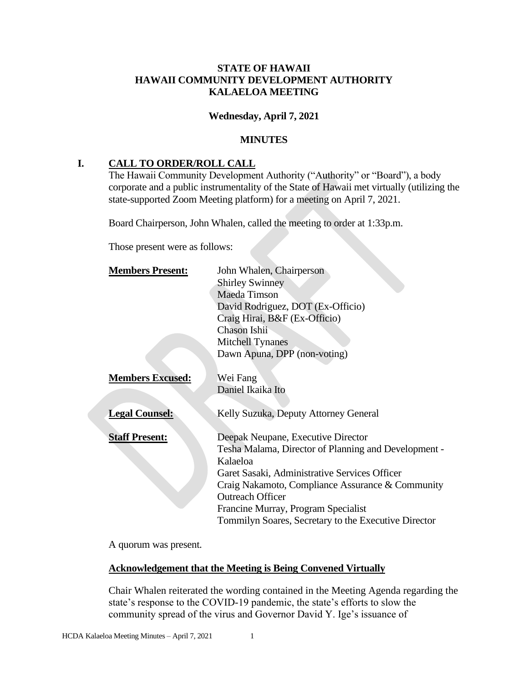## **STATE OF HAWAII HAWAII COMMUNITY DEVELOPMENT AUTHORITY KALAELOA MEETING**

### **Wednesday, April 7, 2021**

#### **MINUTES**

## **I. CALL TO ORDER/ROLL CALL**

The Hawaii Community Development Authority ("Authority" or "Board"), a body corporate and a public instrumentality of the State of Hawaii met virtually (utilizing the state-supported Zoom Meeting platform) for a meeting on April 7, 2021.

Board Chairperson, John Whalen, called the meeting to order at 1:33p.m.

Those present were as follows:

| <b>Members Present:</b> | John Whalen, Chairperson                             |
|-------------------------|------------------------------------------------------|
|                         | <b>Shirley Swinney</b>                               |
|                         | <b>Maeda Timson</b>                                  |
|                         | David Rodriguez, DOT (Ex-Officio)                    |
|                         | Craig Hirai, B&F (Ex-Officio)                        |
|                         | Chason Ishii                                         |
|                         | <b>Mitchell Tynanes</b>                              |
|                         | Dawn Apuna, DPP (non-voting)                         |
|                         |                                                      |
| <b>Members Excused:</b> | Wei Fang                                             |
|                         | Daniel Ikaika Ito                                    |
|                         |                                                      |
| <b>Legal Counsel:</b>   | Kelly Suzuka, Deputy Attorney General                |
|                         |                                                      |
| <b>Staff Present:</b>   | Deepak Neupane, Executive Director                   |
|                         | Tesha Malama, Director of Planning and Development - |
|                         | Kalaeloa                                             |
|                         | Garet Sasaki, Administrative Services Officer        |
|                         | Craig Nakamoto, Compliance Assurance & Community     |
|                         | <b>Outreach Officer</b>                              |
|                         | Francine Murray, Program Specialist                  |
|                         | Tommilyn Soares, Secretary to the Executive Director |

A quorum was present.

#### **Acknowledgement that the Meeting is Being Convened Virtually**

Chair Whalen reiterated the wording contained in the Meeting Agenda regarding the state's response to the COVID-19 pandemic, the state's efforts to slow the community spread of the virus and Governor David Y. Ige's issuance of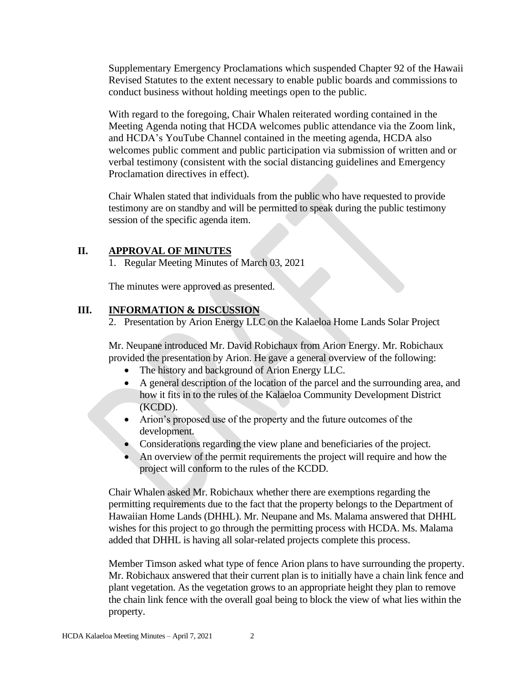Supplementary Emergency Proclamations which suspended Chapter 92 of the Hawaii Revised Statutes to the extent necessary to enable public boards and commissions to conduct business without holding meetings open to the public.

With regard to the foregoing, Chair Whalen reiterated wording contained in the Meeting Agenda noting that HCDA welcomes public attendance via the Zoom link, and HCDA's YouTube Channel contained in the meeting agenda, HCDA also welcomes public comment and public participation via submission of written and or verbal testimony (consistent with the social distancing guidelines and Emergency Proclamation directives in effect).

Chair Whalen stated that individuals from the public who have requested to provide testimony are on standby and will be permitted to speak during the public testimony session of the specific agenda item.

## **II. APPROVAL OF MINUTES**

1. Regular Meeting Minutes of March 03, 2021

The minutes were approved as presented.

### **III. INFORMATION & DISCUSSION**

2. Presentation by Arion Energy LLC on the Kalaeloa Home Lands Solar Project

Mr. Neupane introduced Mr. David Robichaux from Arion Energy. Mr. Robichaux provided the presentation by Arion. He gave a general overview of the following:

- The history and background of Arion Energy LLC.
- A general description of the location of the parcel and the surrounding area, and how it fits in to the rules of the Kalaeloa Community Development District (KCDD).
- Arion's proposed use of the property and the future outcomes of the development.
- Considerations regarding the view plane and beneficiaries of the project.
- An overview of the permit requirements the project will require and how the project will conform to the rules of the KCDD.

Chair Whalen asked Mr. Robichaux whether there are exemptions regarding the permitting requirements due to the fact that the property belongs to the Department of Hawaiian Home Lands (DHHL). Mr. Neupane and Ms. Malama answered that DHHL wishes for this project to go through the permitting process with HCDA. Ms. Malama added that DHHL is having all solar-related projects complete this process.

Member Timson asked what type of fence Arion plans to have surrounding the property. Mr. Robichaux answered that their current plan is to initially have a chain link fence and plant vegetation. As the vegetation grows to an appropriate height they plan to remove the chain link fence with the overall goal being to block the view of what lies within the property.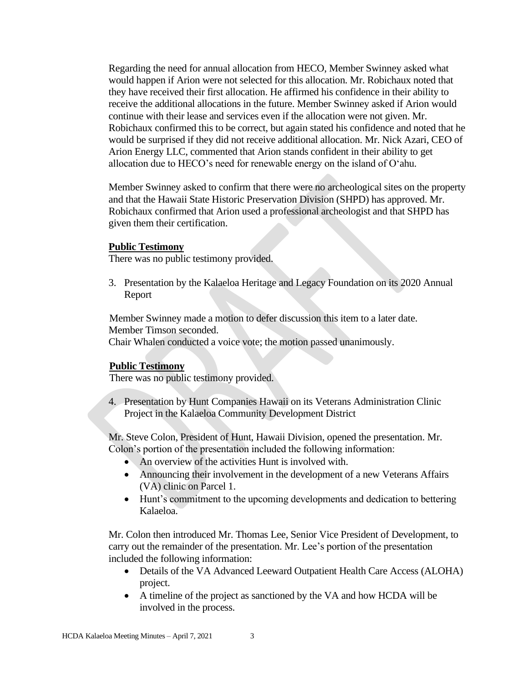Regarding the need for annual allocation from HECO, Member Swinney asked what would happen if Arion were not selected for this allocation. Mr. Robichaux noted that they have received their first allocation. He affirmed his confidence in their ability to receive the additional allocations in the future. Member Swinney asked if Arion would continue with their lease and services even if the allocation were not given. Mr. Robichaux confirmed this to be correct, but again stated his confidence and noted that he would be surprised if they did not receive additional allocation. Mr. Nick Azari, CEO of Arion Energy LLC, commented that Arion stands confident in their ability to get allocation due to HECO's need for renewable energy on the island of Oʻahu.

Member Swinney asked to confirm that there were no archeological sites on the property and that the Hawaii State Historic Preservation Division (SHPD) has approved. Mr. Robichaux confirmed that Arion used a professional archeologist and that SHPD has given them their certification.

#### **Public Testimony**

There was no public testimony provided.

3. Presentation by the Kalaeloa Heritage and Legacy Foundation on its 2020 Annual Report

Member Swinney made a motion to defer discussion this item to a later date. Member Timson seconded.

Chair Whalen conducted a voice vote; the motion passed unanimously.

#### **Public Testimony**

There was no public testimony provided.

4. Presentation by Hunt Companies Hawaii on its Veterans Administration Clinic Project in the Kalaeloa Community Development District

Mr. Steve Colon, President of Hunt, Hawaii Division, opened the presentation. Mr. Colon's portion of the presentation included the following information:

- An overview of the activities Hunt is involved with.
- Announcing their involvement in the development of a new Veterans Affairs (VA) clinic on Parcel 1.
- Hunt's commitment to the upcoming developments and dedication to bettering Kalaeloa.

Mr. Colon then introduced Mr. Thomas Lee, Senior Vice President of Development, to carry out the remainder of the presentation. Mr. Lee's portion of the presentation included the following information:

- Details of the VA Advanced Leeward Outpatient Health Care Access (ALOHA) project.
- A timeline of the project as sanctioned by the VA and how HCDA will be involved in the process.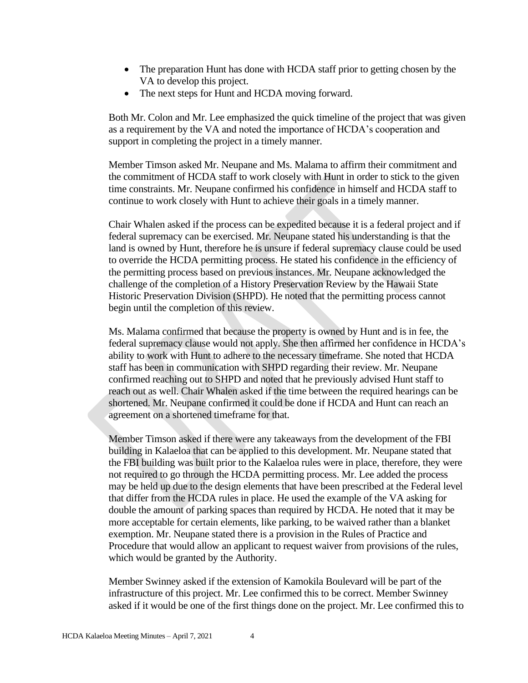- The preparation Hunt has done with HCDA staff prior to getting chosen by the VA to develop this project.
- The next steps for Hunt and HCDA moving forward.

Both Mr. Colon and Mr. Lee emphasized the quick timeline of the project that was given as a requirement by the VA and noted the importance of HCDA's cooperation and support in completing the project in a timely manner.

Member Timson asked Mr. Neupane and Ms. Malama to affirm their commitment and the commitment of HCDA staff to work closely with Hunt in order to stick to the given time constraints. Mr. Neupane confirmed his confidence in himself and HCDA staff to continue to work closely with Hunt to achieve their goals in a timely manner.

Chair Whalen asked if the process can be expedited because it is a federal project and if federal supremacy can be exercised. Mr. Neupane stated his understanding is that the land is owned by Hunt, therefore he is unsure if federal supremacy clause could be used to override the HCDA permitting process. He stated his confidence in the efficiency of the permitting process based on previous instances. Mr. Neupane acknowledged the challenge of the completion of a History Preservation Review by the Hawaii State Historic Preservation Division (SHPD). He noted that the permitting process cannot begin until the completion of this review.

Ms. Malama confirmed that because the property is owned by Hunt and is in fee, the federal supremacy clause would not apply. She then affirmed her confidence in HCDA's ability to work with Hunt to adhere to the necessary timeframe. She noted that HCDA staff has been in communication with SHPD regarding their review. Mr. Neupane confirmed reaching out to SHPD and noted that he previously advised Hunt staff to reach out as well. Chair Whalen asked if the time between the required hearings can be shortened. Mr. Neupane confirmed it could be done if HCDA and Hunt can reach an agreement on a shortened timeframe for that.

Member Timson asked if there were any takeaways from the development of the FBI building in Kalaeloa that can be applied to this development. Mr. Neupane stated that the FBI building was built prior to the Kalaeloa rules were in place, therefore, they were not required to go through the HCDA permitting process. Mr. Lee added the process may be held up due to the design elements that have been prescribed at the Federal level that differ from the HCDA rules in place. He used the example of the VA asking for double the amount of parking spaces than required by HCDA. He noted that it may be more acceptable for certain elements, like parking, to be waived rather than a blanket exemption. Mr. Neupane stated there is a provision in the Rules of Practice and Procedure that would allow an applicant to request waiver from provisions of the rules, which would be granted by the Authority.

Member Swinney asked if the extension of Kamokila Boulevard will be part of the infrastructure of this project. Mr. Lee confirmed this to be correct. Member Swinney asked if it would be one of the first things done on the project. Mr. Lee confirmed this to